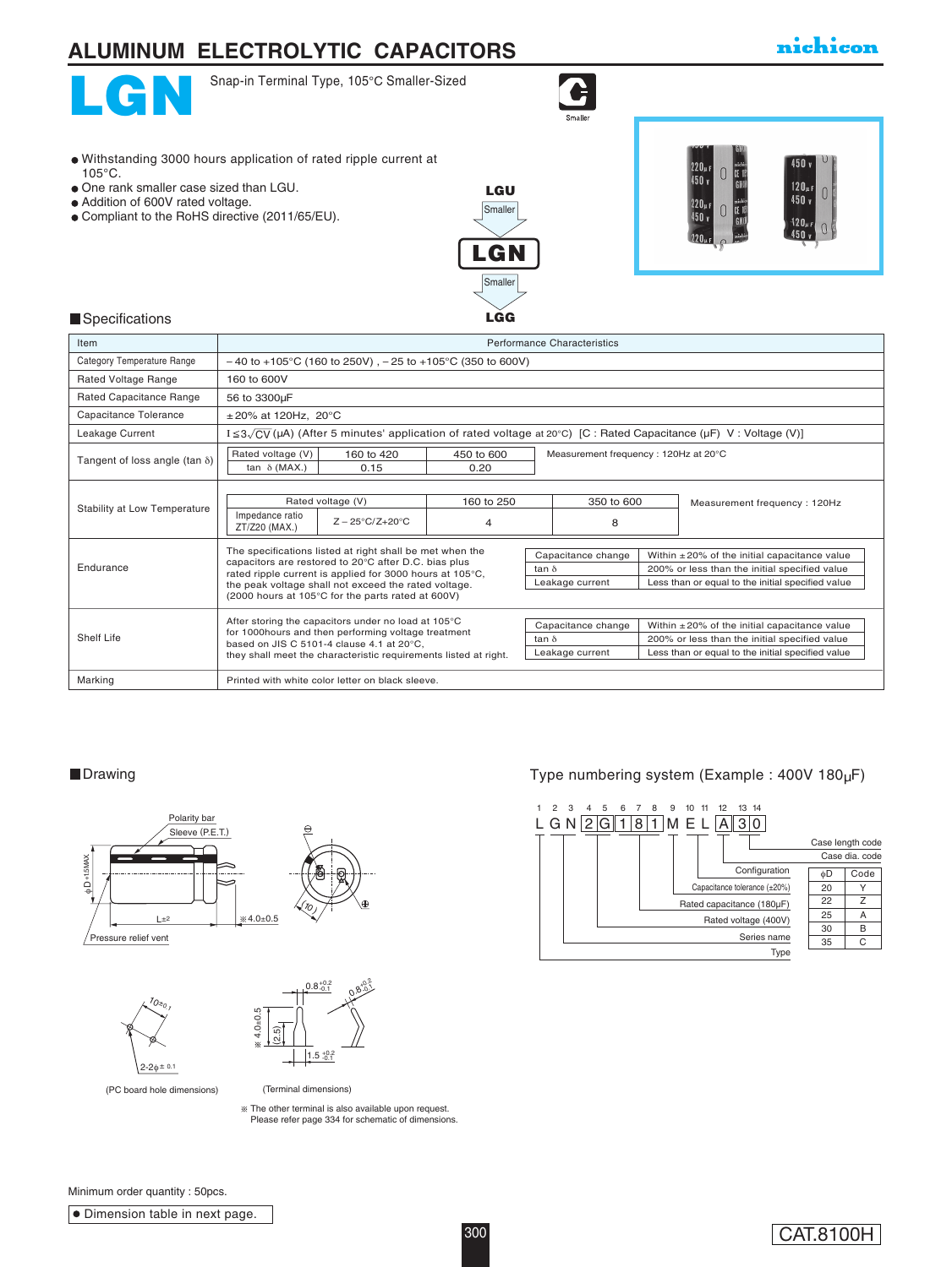

Withstanding 3000 hours application of rated ripple current at

One rank smaller case sized than LGU. Addition of 600V rated voltage.

Compliant to the RoHS directive (2011/65/EU).

### nichicon



105°C.

Snap-in Terminal Type, 105°C Smaller-Sized



#### **Specifications**

| Item                                  | Performance Characteristics                                                                                                                                                                                                                                                               |            |                                                       |                                                                                                                                                                                                                   |  |                                                                                                                                                          |  |
|---------------------------------------|-------------------------------------------------------------------------------------------------------------------------------------------------------------------------------------------------------------------------------------------------------------------------------------------|------------|-------------------------------------------------------|-------------------------------------------------------------------------------------------------------------------------------------------------------------------------------------------------------------------|--|----------------------------------------------------------------------------------------------------------------------------------------------------------|--|
| Category Temperature Range            | $-40$ to +105°C (160 to 250V), $-25$ to +105°C (350 to 600V)                                                                                                                                                                                                                              |            |                                                       |                                                                                                                                                                                                                   |  |                                                                                                                                                          |  |
| Rated Voltage Range                   | 160 to 600V                                                                                                                                                                                                                                                                               |            |                                                       |                                                                                                                                                                                                                   |  |                                                                                                                                                          |  |
| Rated Capacitance Range               | 56 to 3300µF                                                                                                                                                                                                                                                                              |            |                                                       |                                                                                                                                                                                                                   |  |                                                                                                                                                          |  |
| Capacitance Tolerance                 | $\pm 20\%$ at 120Hz, 20°C                                                                                                                                                                                                                                                                 |            |                                                       |                                                                                                                                                                                                                   |  |                                                                                                                                                          |  |
| Leakage Current                       | $I \leq 3\sqrt{CV}$ ( $\mu A$ ) (After 5 minutes' application of rated voltage at 20°C) [C : Rated Capacitance ( $\mu F$ ) V : Voltage (V)]                                                                                                                                               |            |                                                       |                                                                                                                                                                                                                   |  |                                                                                                                                                          |  |
| Tangent of loss angle (tan $\delta$ ) | Rated voltage (V)<br>160 to 420                                                                                                                                                                                                                                                           | 450 to 600 |                                                       | Measurement frequency: 120Hz at 20°C                                                                                                                                                                              |  |                                                                                                                                                          |  |
|                                       | tan $\delta$ (MAX.)<br>0.15                                                                                                                                                                                                                                                               | 0.20       |                                                       |                                                                                                                                                                                                                   |  |                                                                                                                                                          |  |
| Stability at Low Temperature          | Rated voltage (V)                                                                                                                                                                                                                                                                         | 160 to 250 | 350 to 600                                            |                                                                                                                                                                                                                   |  | Measurement frequency: 120Hz                                                                                                                             |  |
|                                       | Impedance ratio<br>$Z - 25^{\circ}C/Z + 20^{\circ}C$<br>ZT/Z20 (MAX.)                                                                                                                                                                                                                     | 4          |                                                       | 8                                                                                                                                                                                                                 |  |                                                                                                                                                          |  |
| Endurance                             | The specifications listed at right shall be met when the<br>capacitors are restored to 20°C after D.C. bias plus<br>rated ripple current is applied for 3000 hours at 105°C,<br>the peak voltage shall not exceed the rated voltage.<br>(2000 hours at 105°C for the parts rated at 600V) |            |                                                       | Within $\pm 20\%$ of the initial capacitance value<br>Capacitance change<br>200% or less than the initial specified value<br>tan $\delta$<br>Leakage current<br>Less than or equal to the initial specified value |  |                                                                                                                                                          |  |
| Shelf Life                            | After storing the capacitors under no load at 105°C<br>for 1000hours and then performing voltage treatment<br>based on JIS C 5101-4 clause 4.1 at 20°C.<br>they shall meet the characteristic requirements listed at right.                                                               |            | Capacitance change<br>tan $\delta$<br>Leakage current |                                                                                                                                                                                                                   |  | Within $\pm 20\%$ of the initial capacitance value<br>200% or less than the initial specified value<br>Less than or equal to the initial specified value |  |
| Marking                               | Printed with white color letter on black sleeve.                                                                                                                                                                                                                                          |            |                                                       |                                                                                                                                                                                                                   |  |                                                                                                                                                          |  |

**Smaller** 

LGU

LGN

**Smaller** 

**L**GG







(PC board hole dimensions) (PC board hole dimensions)

(Terminal dimensions) (Terminal dimensions)

The other terminal is also available upon request. Please refer page 272 for schematic of dimensions. The other terminal is also available upon request. Please refer page 334 for schematic of dimensions.

#### ■Drawing Drawing Type numbering system (Example : 400V 180µF)



Minimum order quantity : 50pcs.

**Dimension table in next page.** 

CAT.8100H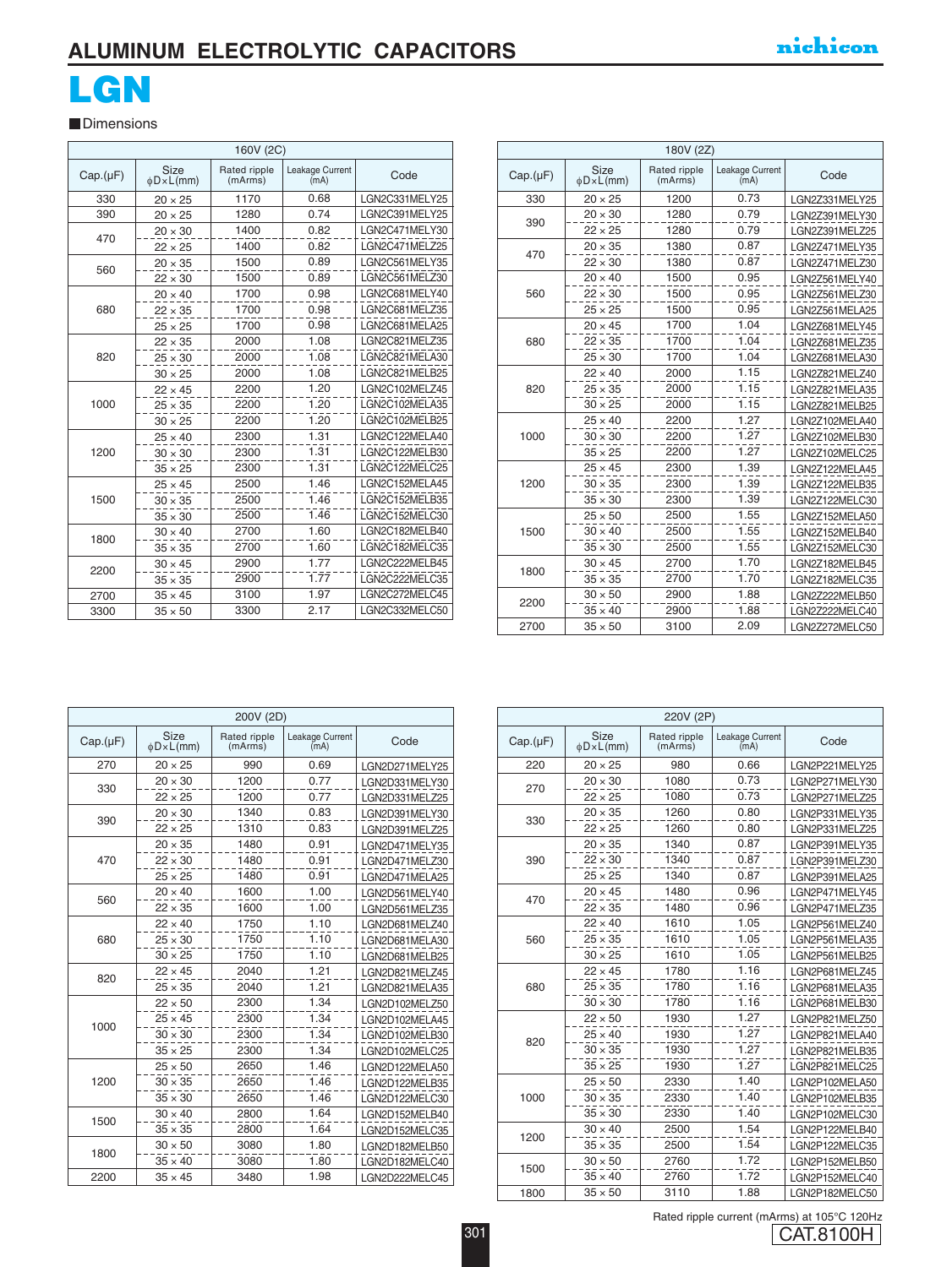### **ALUMINUM ELECTROLYTIC CAPACITORS**

# **LGN**

**Dimensions** 

| 160V (2C) |                               |                         |                         |                |
|-----------|-------------------------------|-------------------------|-------------------------|----------------|
| Cap.(µF)  | <b>Size</b><br>$\phi$ D×L(mm) | Rated ripple<br>(mArms) | Leakage Current<br>(mA) | Code           |
| 330       | $20 \times 25$                | 1170                    | 0.68                    | LGN2C331MELY25 |
| 390       | $20 \times 25$                | 1280                    | 0.74                    | LGN2C391MELY25 |
| 470       | $20 \times 30$                | 1400                    | 0.82                    | LGN2C471MELY30 |
|           | $22 \times 25$                | 1400                    | 0.82                    | LGN2C471MELZ25 |
| 560       | $20 \times 35$                | 1500                    | 0.89                    | LGN2C561MELY35 |
|           | $22 \times 30$                | 1500                    | 0.89                    | LGN2C561MELZ30 |
|           | $20 \times 40$                | 1700                    | 0.98                    | LGN2C681MELY40 |
| 680       | $22 \times 35$                | 1700                    | 0.98                    | LGN2C681MELZ35 |
|           | $25 \times 25$                | 1700                    | 0.98                    | LGN2C681MELA25 |
|           | $22 \times 35$                | 2000                    | 1.08                    | LGN2C821MELZ35 |
| 820       | $25 \times 30$                | 2000                    | 1.08                    | LGN2C821MELA30 |
|           | $30 \times 25$                | 2000                    | 1.08                    | LGN2C821MELB25 |
|           | $22 \times 45$                | 2200                    | 1.20                    | LGN2C102MELZ45 |
| 1000      | $25 \times 35$                | 2200                    | 1.20                    | LGN2C102MELA35 |
|           | $30 \times 25$                | 2200                    | 1.20                    | LGN2C102MELB25 |
|           | $25 \times 40$                | 2300                    | 1.31                    | LGN2C122MELA40 |
| 1200      | $30 \times 30$                | 2300                    | 1.31                    | LGN2C122MELB30 |
|           | $35 \times 25$                | 2300                    | 1.31                    | LGN2C122MELC25 |
|           | $25 \times 45$                | 2500                    | 1.46                    | LGN2C152MELA45 |
| 1500      | $30 \times 35$                | 2500                    | 1.46                    | LGN2C152MELB35 |
|           | $35 \times 30$                | 2500                    | 1.46                    | LGN2C152MELC30 |
|           | $30 \times 40$                | 2700                    | 1.60                    | LGN2C182MELB40 |
| 1800      | $35 \times 35$                | 2700                    | 1.60                    | LGN2C182MELC35 |
|           | $30 \times 45$                | 2900                    | 1.77                    | LGN2C222MELB45 |
| 2200      | $35 \times 35$                | 2900                    | 1.77                    | LGN2C222MELC35 |
| 2700      | $35 \times 45$                | 3100                    | 1.97                    | LGN2C272MELC45 |
| 3300      | $35 \times 50$                | 3300                    | 2.17                    | LGN2C332MELC50 |
|           |                               |                         |                         |                |

|          | 180V (2Z)              |                         |                         |                |  |  |
|----------|------------------------|-------------------------|-------------------------|----------------|--|--|
| Cap.(µF) | Size<br>$\phi$ D×L(mm) | Rated ripple<br>(mArms) | Leakage Current<br>(mA) | Code           |  |  |
| 330      | $20 \times 25$         | 1200                    | 0.73                    | LGN2Z331MELY25 |  |  |
|          | $20 \times 30$         | 1280                    | 0.79                    | LGN2Z391MELY30 |  |  |
| 390      | $22 \times 25$         | 1280                    | 0.79                    | LGN2Z391MELZ25 |  |  |
|          | $20 \times 35$         | 1380                    | 0.87                    | LGN2Z471MELY35 |  |  |
| 470      | $22 \times 30$         | 1380                    | 0.87                    | LGN2Z471MELZ30 |  |  |
|          | $20 \times 40$         | 1500                    | 0.95                    | LGN2Z561MELY40 |  |  |
| 560      | $22 \times 30$         | 1500                    | 0.95                    | LGN2Z561MELZ30 |  |  |
|          | $25 \times 25$         | 1500                    | 0.95                    | LGN2Z561MELA25 |  |  |
|          | $20 \times 45$         | 1700                    | 1.04                    | LGN2Z681MELY45 |  |  |
| 680      | $22 \times 35$         | 1700                    | 1.04                    | LGN2Z681MELZ35 |  |  |
|          | $25 \times 30$         | 1700                    | 1.04                    | LGN2Z681MELA30 |  |  |
|          | $22 \times 40$         | 2000                    | 1.15                    | LGN2Z821MELZ40 |  |  |
| 820      | $25 \times 35$         | 2000                    | 1.15                    | LGN2Z821MELA35 |  |  |
|          | $30 \times 25$         | 2000                    | 1.15                    | LGN2Z821MELB25 |  |  |
|          | $25 \times 40$         | 2200                    | 1.27                    | LGN2Z102MELA40 |  |  |
| 1000     | $30 \times 30$         | 2200                    | 1.27                    | LGN2Z102MELB30 |  |  |
|          | $35 \times 25$         | 2200                    | 1.27                    | LGN2Z102MELC25 |  |  |
|          | $25 \times 45$         | 2300                    | 1.39                    | LGN2Z122MELA45 |  |  |
| 1200     | $30 \times 35$         | 2300                    | 1.39                    | LGN2Z122MELB35 |  |  |
|          | $35 \times 30$         | 2300                    | 1.39                    | LGN2Z122MELC30 |  |  |
|          | $25 \times 50$         | 2500                    | 1.55                    | LGN2Z152MELA50 |  |  |
| 1500     | $30 \times 40$         | 2500                    | 1.55                    | LGN2Z152MELB40 |  |  |
|          | $35 \times 30$         | 2500                    | 1.55                    | LGN2Z152MELC30 |  |  |
| 1800     | $30 \times 45$         | 2700                    | 1.70                    | LGN2Z182MELB45 |  |  |
|          | $35 \times 35$         | 2700                    | 1.70                    | LGN2Z182MELC35 |  |  |
| 2200     | $30 \times 50$         | 2900                    | 1.88                    | LGN2Z222MELB50 |  |  |
|          | $35 \times 40$         | 2900                    | 1.88                    | LGN2Z222MELC40 |  |  |
| 2700     | $35 \times 50$         | 3100                    | 2.09                    | LGN2Z272MELC50 |  |  |

|          | 200V (2D)                     |                         |                         |                |  |  |
|----------|-------------------------------|-------------------------|-------------------------|----------------|--|--|
| Cap.(µF) | <b>Size</b><br>$\phi$ D×L(mm) | Rated ripple<br>(mArms) | Leakage Current<br>(mA) | Code           |  |  |
| 270      | $20 \times 25$                | 990                     | 0.69                    | LGN2D271MELY25 |  |  |
| 330      | $20 \times 30$                | 1200                    | 0.77                    | LGN2D331MELY30 |  |  |
|          | $22 \times 25$                | 1200                    | 0.77                    | LGN2D331MELZ25 |  |  |
| 390      | $20 \times 30$                | 1340                    | 0.83                    | LGN2D391MELY30 |  |  |
|          | $22 \times 25$                | 1310                    | 0.83                    | LGN2D391MELZ25 |  |  |
|          | $20 \times 35$                | 1480                    | 0.91                    | LGN2D471MELY35 |  |  |
| 470      | $22 \times 30$                | 1480                    | 0.91                    | LGN2D471MELZ30 |  |  |
|          | $25 \times 25$                | 1480                    | 0.91                    | LGN2D471MELA25 |  |  |
| 560      | $20 \times 40$                | 1600                    | 1.00                    | LGN2D561MELY40 |  |  |
|          | $22 \times 35$                | 1600                    | 1.00                    | LGN2D561MELZ35 |  |  |
|          | $22 \times 40$                | 1750                    | 1.10                    | LGN2D681MELZ40 |  |  |
| 680      | $25 \times 30$                | 1750                    | 1.10                    | LGN2D681MELA30 |  |  |
|          | $30 \times 25$                | 1750                    | 1.10                    | LGN2D681MELB25 |  |  |
| 820      | $22 \times 45$                | 2040                    | 1.21                    | LGN2D821MELZ45 |  |  |
|          | $25 \times 35$                | 2040                    | 1.21                    | LGN2D821MELA35 |  |  |
|          | $22 \times 50$                | 2300                    | 1.34                    | LGN2D102MELZ50 |  |  |
| 1000     | $25 \times 45$                | 2300                    | 1.34                    | LGN2D102MELA45 |  |  |
|          | $30 \times 30$                | 2300                    | 1.34                    | LGN2D102MELB30 |  |  |
|          | $35 \times 25$                | 2300                    | 1.34                    | LGN2D102MELC25 |  |  |
|          | $25 \times 50$                | 2650                    | 1.46                    | LGN2D122MELA50 |  |  |
| 1200     | $30 \times 35$                | 2650                    | 1.46                    | LGN2D122MELB35 |  |  |
|          | $35 \times 30$                | 2650                    | 1.46                    | LGN2D122MELC30 |  |  |
| 1500     | $30 \times 40$                | 2800                    | 1.64                    | LGN2D152MELB40 |  |  |
|          | $35 \times 35$                | 2800                    | 1.64                    | LGN2D152MELC35 |  |  |
| 1800     | $30 \times 50$                | 3080                    | 1.80                    | LGN2D182MELB50 |  |  |
|          | $35 \times 40$                | 3080                    | 1.80                    | LGN2D182MELC40 |  |  |
| 2200     | $35 \times 45$                | 3480                    | 1.98                    | LGN2D222MELC45 |  |  |

| 220V (2P) |                               |                         |                         |                |
|-----------|-------------------------------|-------------------------|-------------------------|----------------|
| Cap.(µF)  | <b>Size</b><br>$\phi$ D×L(mm) | Rated ripple<br>(mArms) | Leakage Current<br>(mA) | Code           |
| 220       | $20 \times 25$                | 980                     | 0.66                    | LGN2P221MELY25 |
|           | $20 \times 30$                | 1080                    | 0.73                    | LGN2P271MELY30 |
| 270       | $22 \times 25$                | 1080                    | 0.73                    | LGN2P271MELZ25 |
|           | $20 \times 35$                | 1260                    | 0.80                    | LGN2P331MELY35 |
| 330       | $22 \times 25$                | 1260                    | 0.80                    | LGN2P331MELZ25 |
|           | $20 \times 35$                | 1340                    | 0.87                    | LGN2P391MELY35 |
| 390       | $22 \times 30$                | 1340                    | 0.87                    | LGN2P391MELZ30 |
|           | $25 \times 25$                | 1340                    | 0.87                    | LGN2P391MELA25 |
|           | $20 \times 45$                | 1480                    | 0.96                    | LGN2P471MELY45 |
| 470       | $22 \times 35$                | 1480                    | 0.96                    | LGN2P471MELZ35 |
|           | $22 \times 40$                | 1610                    | 1.05                    | LGN2P561MELZ40 |
| 560       | $25 \times 35$                | 1610                    | 1.05                    | LGN2P561MELA35 |
|           | $30 \times 25$                | 1610                    | 1.05                    | LGN2P561MELB25 |
|           | $22 \times 45$                | 1780                    | 1.16                    | LGN2P681MELZ45 |
| 680       | $25 \times 35$                | 1780                    | 1.16                    | LGN2P681MELA35 |
|           | $30 \times 30$                | 1780                    | 1.16                    | LGN2P681MELB30 |
|           | $22 \times 50$                | 1930                    | 1.27                    | LGN2P821MELZ50 |
|           | $25 \times 40$                | 1930                    | 1.27                    | LGN2P821MELA40 |
| 820       | $30 \times 35$                | 1930                    | 1.27                    | LGN2P821MELB35 |
|           | $35 \times 25$                | 1930                    | 1.27                    | LGN2P821MELC25 |
|           | $25 \times 50$                | 2330                    | 1.40                    | LGN2P102MELA50 |
| 1000      | $30 \times 35$                | 2330                    | 1.40                    | LGN2P102MELB35 |
|           | $35 \times 30$                | 2330                    | 1.40                    | LGN2P102MELC30 |
|           | $30 \times 40$                | 2500                    | 1.54                    | LGN2P122MELB40 |
| 1200      | $35 \times 35$                | 2500                    | 1.54                    | LGN2P122MELC35 |
|           | $30 \times 50$                | 2760                    | 1.72                    | LGN2P152MELB50 |
| 1500      | $35 \times 40$                | 2760                    | 1.72                    | LGN2P152MELC40 |
| 1800      | $35 \times 50$                | 3110                    | 1.88                    | LGN2P182MELC50 |

CAT.8100H Rated ripple current (mArms) at 105°C 120Hz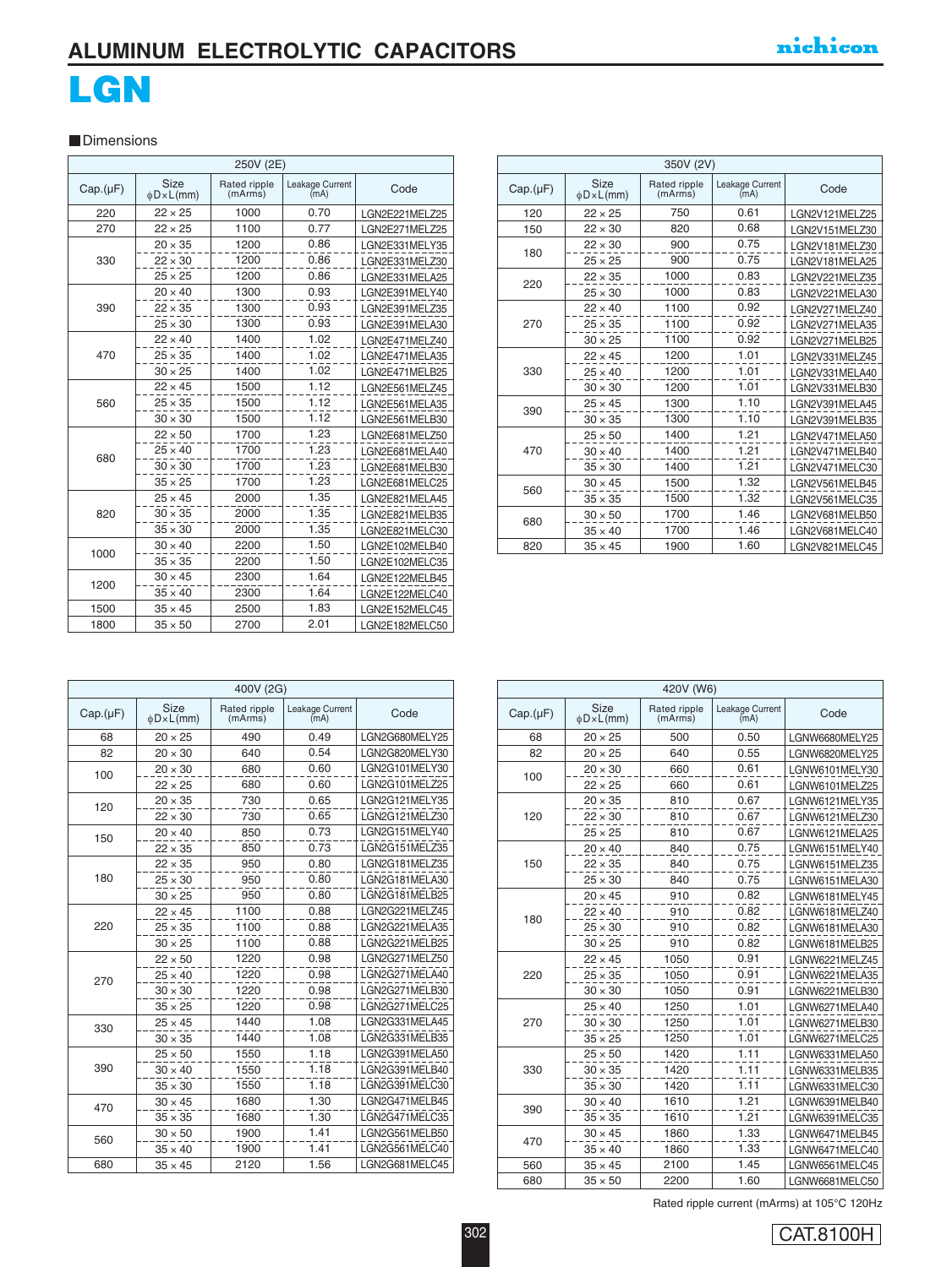## **ALUMINUM ELECTROLYTIC CAPACITORS**

# **LGN**

#### **Dimensions**

|          | 250V (2E)              |                         |                         |                |  |  |
|----------|------------------------|-------------------------|-------------------------|----------------|--|--|
| Cap.(µF) | Size<br>$\phi$ D×L(mm) | Rated ripple<br>(mArms) | Leakage Current<br>(mA) | Code           |  |  |
| 220      | $22 \times 25$         | 1000                    | 0.70                    | LGN2E221MELZ25 |  |  |
| 270      | $22 \times 25$         | 1100                    | 0.77                    | LGN2E271MELZ25 |  |  |
|          | $20 \times 35$         | 1200                    | 0.86                    | LGN2E331MELY35 |  |  |
| 330      | $22 \times 30$         | 1200                    | 0.86                    | LGN2E331MELZ30 |  |  |
|          | $25 \times 25$         | 1200                    | 0.86                    | LGN2E331MELA25 |  |  |
|          | $20 \times 40$         | 1300                    | 0.93                    | LGN2E391MELY40 |  |  |
| 390      | $22 \times 35$         | 1300                    | 0.93                    | LGN2E391MELZ35 |  |  |
|          | $25 \times 30$         | 1300                    | 0.93                    | LGN2E391MELA30 |  |  |
|          | $22 \times 40$         | 1400                    | 1.02                    | LGN2E471MELZ40 |  |  |
| 470      | $25 \times 35$         | 1400                    | 1.02                    | LGN2E471MELA35 |  |  |
|          | $30 \times 25$         | 1400                    | 1.02                    | LGN2E471MELB25 |  |  |
|          | $22 \times 45$         | 1500                    | 1.12                    | LGN2E561MELZ45 |  |  |
| 560      | $25 \times 35$         | 1500                    | 1.12                    | LGN2E561MELA35 |  |  |
|          | $30 \times 30$         | 1500                    | 1.12                    | LGN2E561MELB30 |  |  |
|          | $22 \times 50$         | 1700                    | 1.23                    | LGN2E681MELZ50 |  |  |
| 680      | $25 \times 40$         | 1700                    | 1.23                    | LGN2E681MELA40 |  |  |
|          | $30 \times 30$         | 1700                    | 1.23                    | LGN2E681MELB30 |  |  |
|          | $35 \times 25$         | 1700                    | 1.23                    | LGN2E681MELC25 |  |  |
|          | $25 \times 45$         | 2000                    | 1.35                    | LGN2E821MELA45 |  |  |
| 820      | $30 \times 35$         | 2000                    | 1.35                    | LGN2E821MELB35 |  |  |
|          | $35 \times 30$         | 2000                    | 1.35                    | LGN2E821MELC30 |  |  |
|          | $30 \times 40$         | 2200                    | 1.50                    | LGN2E102MELB40 |  |  |
| 1000     | $35 \times 35$         | 2200                    | 1.50                    | LGN2E102MELC35 |  |  |
|          | $30 \times 45$         | 2300                    | 1.64                    | LGN2E122MELB45 |  |  |
| 1200     | $35 \times 40$         | 2300                    | 1.64                    | LGN2E122MELC40 |  |  |
| 1500     | $35 \times 45$         | 2500                    | 1.83                    | LGN2E152MELC45 |  |  |
| 1800     | $35 \times 50$         | 2700                    | 2.01                    | LGN2E182MELC50 |  |  |

|          | 350V (2V)              |                         |                         |                |  |
|----------|------------------------|-------------------------|-------------------------|----------------|--|
| Cap.(µF) | Size<br>$\phi$ D×L(mm) | Rated ripple<br>(mArms) | Leakage Current<br>(mA) | Code           |  |
| 120      | $22 \times 25$         | 750                     | 0.61                    | LGN2V121MELZ25 |  |
| 150      | $22 \times 30$         | 820                     | 0.68                    | LGN2V151MELZ30 |  |
| 180      | $22 \times 30$         | 900                     | 0.75                    | LGN2V181MELZ30 |  |
|          | $25 \times 25$         | 900                     | 0.75                    | LGN2V181MELA25 |  |
| 220      | $22 \times 35$         | 1000                    | 0.83                    | LGN2V221MELZ35 |  |
|          | $25 \times 30$         | 1000                    | 0.83                    | LGN2V221MELA30 |  |
|          | $22 \times 40$         | 1100                    | 0.92                    | LGN2V271MELZ40 |  |
| 270      | $25 \times 35$         | 1100                    | 0.92                    | LGN2V271MELA35 |  |
|          | $30 \times 25$         | 1100                    | 0.92                    | LGN2V271MELB25 |  |
|          | $22 \times 45$         | 1200                    | 1.01                    | LGN2V331MELZ45 |  |
| 330      | $25 \times 40$         | 1200                    | 1.01                    | LGN2V331MELA40 |  |
|          | $30 \times 30$         | 1200                    | 1.01                    | LGN2V331MELB30 |  |
| 390      | $25 \times 45$         | 1300                    | 1.10                    | LGN2V391MELA45 |  |
|          | $30 \times 35$         | 1300                    | 1.10                    | LGN2V391MELB35 |  |
|          | $25 \times 50$         | 1400                    | 1.21                    | LGN2V471MELA50 |  |
| 470      | $30 \times 40$         | 1400                    | 1.21                    | LGN2V471MELB40 |  |
|          | $35 \times 30$         | 1400                    | 1.21                    | LGN2V471MELC30 |  |
| 560      | $30 \times 45$         | 1500                    | 1.32                    | LGN2V561MELB45 |  |
|          | $35 \times 35$         | 1500                    | 1.32                    | LGN2V561MELC35 |  |
| 680      | $30 \times 50$         | 1700                    | 1.46                    | LGN2V681MELB50 |  |
|          | $35 \times 40$         | 1700                    | 1.46                    | LGN2V681MELC40 |  |
| 820      | $35 \times 45$         | 1900                    | 1.60                    | LGN2V821MELC45 |  |

| 400V (2G) |                                 |                         |                         |                |  |
|-----------|---------------------------------|-------------------------|-------------------------|----------------|--|
| Cap.(µF)  | <b>Size</b><br>$\phi$ D × L(mm) | Rated ripple<br>(mArms) | Leakage Current<br>(mA) | Code           |  |
| 68        | $20 \times 25$                  | 490                     | 0.49                    | LGN2G680MELY25 |  |
| 82        | $20 \times 30$                  | 640                     | 0.54                    | LGN2G820MELY30 |  |
| 100       | $20 \times 30$                  | 680                     | 0.60                    | LGN2G101MELY30 |  |
|           | $22 \times 25$                  | 680                     | 0.60                    | LGN2G101MELZ25 |  |
| 120       | $20 \times 35$                  | 730                     | 0.65                    | LGN2G121MELY35 |  |
|           | $22 \times 30$                  | 730                     | 0.65                    | LGN2G121MELZ30 |  |
| 150       | $20 \times 40$                  | 850                     | 0.73                    | LGN2G151MELY40 |  |
|           | $22 \times 35$                  | 850                     | 0.73                    | LGN2G151MELZ35 |  |
|           | $22 \times 35$                  | 950                     | 0.80                    | LGN2G181MELZ35 |  |
| 180       | $25 \times 30$                  | 950                     | 0.80                    | LGN2G181MELA30 |  |
|           | $30 \times 25$                  | 950                     | 0.80                    | LGN2G181MELB25 |  |
|           | $22 \times 45$                  | 1100                    | 0.88                    | LGN2G221MELZ45 |  |
| 220       | $25 \times 35$                  | 1100                    | 0.88                    | LGN2G221MELA35 |  |
|           | $30 \times 25$                  | 1100                    | 0.88                    | LGN2G221MELB25 |  |
|           | $22 \times 50$                  | 1220                    | 0.98                    | LGN2G271MELZ50 |  |
| 270       | $25 \times 40$                  | 1220                    | 0.98                    | LGN2G271MELA40 |  |
|           | $30 \times 30$                  | 1220                    | 0.98                    | LGN2G271MELB30 |  |
|           | $35 \times 25$                  | 1220                    | 0.98                    | LGN2G271MELC25 |  |
| 330       | $25 \times 45$                  | 1440                    | 1.08                    | LGN2G331MELA45 |  |
|           | $30 \times 35$                  | 1440                    | 1.08                    | LGN2G331MELB35 |  |
|           | $25 \times 50$                  | 1550                    | 1.18                    | LGN2G391MELA50 |  |
| 390       | $30 \times 40$                  | 1550                    | 1.18                    | LGN2G391MELB40 |  |
|           | $35 \times 30$                  | 1550                    | 1.18                    | LGN2G391MELC30 |  |
| 470       | $30 \times 45$                  | 1680                    | 1.30                    | LGN2G471MELB45 |  |
|           | $35 \times 35$                  | 1680                    | 1.30                    | LGN2G471MELC35 |  |
| 560       | $30 \times 50$                  | 1900                    | 1.41                    | LGN2G561MELB50 |  |
|           | $35 \times 40$                  | 1900                    | 1.41                    | LGN2G561MELC40 |  |
| 680       | $35 \times 45$                  | 2120                    | 1.56                    | LGN2G681MELC45 |  |

| 420V (W6) |                        |                         |                         |                |  |
|-----------|------------------------|-------------------------|-------------------------|----------------|--|
| Cap.(µF)  | Size<br>$\phi$ D×L(mm) | Rated ripple<br>(mArms) | Leakage Current<br>(mA) | Code           |  |
| 68        | $20 \times 25$         | 500                     | 0.50                    | LGNW6680MELY25 |  |
| 82        | $20 \times 25$         | 640                     | 0.55                    | LGNW6820MELY25 |  |
| 100       | $20 \times 30$         | 660                     | 0.61                    | LGNW6101MELY30 |  |
|           | $22 \times 25$         | 660                     | 0.61                    | LGNW6101MELZ25 |  |
|           | $20 \times 35$         | 810                     | 0.67                    | LGNW6121MELY35 |  |
| 120       | $22 \times 30$         | 810                     | 0.67                    | LGNW6121MELZ30 |  |
|           | $25 \times 25$         | 810                     | 0.67                    | LGNW6121MELA25 |  |
|           | $20 \times 40$         | 840                     | 0.75                    | LGNW6151MELY40 |  |
| 150       | $22 \times 35$         | 840                     | 0.75                    | LGNW6151MELZ35 |  |
|           | $25 \times 30$         | 840                     | 0.75                    | LGNW6151MELA30 |  |
|           | $20 \times 45$         | 910                     | 0.82                    | LGNW6181MELY45 |  |
| 180       | $22 \times 40$         | 910                     | 0.82                    | LGNW6181MELZ40 |  |
|           | $25 \times 30$         | 910                     | 0.82                    | LGNW6181MELA30 |  |
|           | $30 \times 25$         | 910                     | 0.82                    | LGNW6181MELB25 |  |
|           | $22 \times 45$         | 1050                    | 0.91                    | LGNW6221MELZ45 |  |
| 220       | $25 \times 35$         | 1050                    | 0.91                    | LGNW6221MELA35 |  |
|           | $30 \times 30$         | 1050                    | 0.91                    | LGNW6221MELB30 |  |
|           | $25 \times 40$         | 1250                    | 1.01                    | LGNW6271MELA40 |  |
| 270       | $30 \times 30$         | 1250                    | 1.01                    | LGNW6271MELB30 |  |
|           | $35 \times 25$         | 1250                    | 1.01                    | LGNW6271MELC25 |  |
|           | $25 \times 50$         | 1420                    | 1.11                    | LGNW6331MELA50 |  |
| 330       | $30 \times 35$         | 1420                    | 1.11                    | LGNW6331MELB35 |  |
|           | $35 \times 30$         | 1420                    | 1.11                    | LGNW6331MELC30 |  |
| 390       | $30 \times 40$         | 1610                    | 1.21                    | LGNW6391MELB40 |  |
|           | $35 \times 35$         | 1610                    | 1.21                    | LGNW6391MELC35 |  |
|           | $30 \times 45$         | 1860                    | 1.33                    | LGNW6471MELB45 |  |
| 470       | $35 \times 40$         | 1860                    | 1.33                    | LGNW6471MELC40 |  |
| 560       | $35 \times 45$         | 2100                    | 1.45                    | LGNW6561MELC45 |  |
| 680       | $35 \times 50$         | 2200                    | 1.60                    | LGNW6681MELC50 |  |

Rated ripple current (mArms) at 105°C 120Hz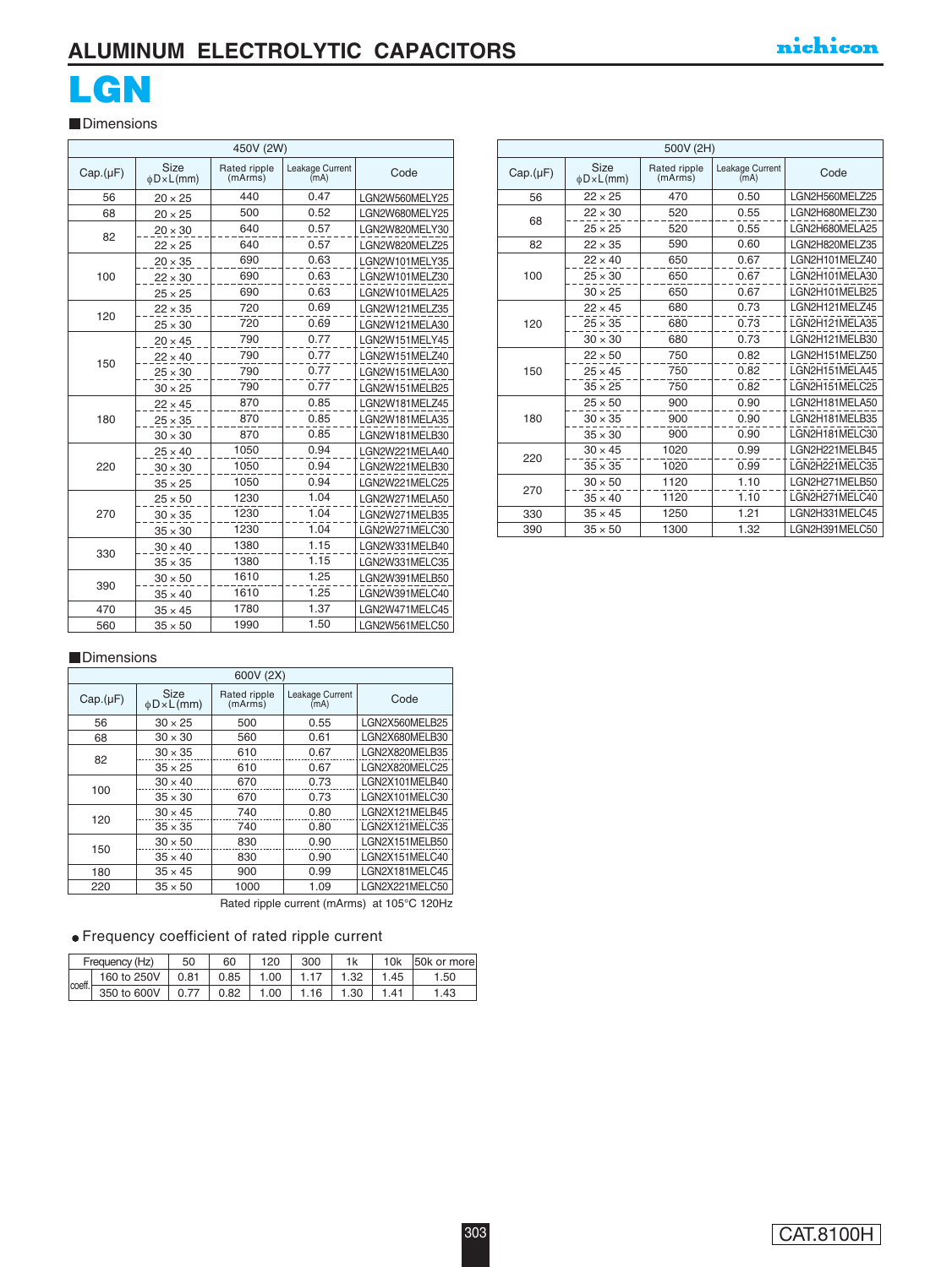## **ALUMINUM ELECTROLYTIC CAPACITORS**

# **LGN**

**Dimensions** 

|  | 450V (2W) |                        |                         |                         |                |
|--|-----------|------------------------|-------------------------|-------------------------|----------------|
|  | Cap.(µF)  | Size<br>$\phi$ D×L(mm) | Rated ripple<br>(mArms) | Leakage Current<br>(mA) | Code           |
|  | 56        | $20 \times 25$         | 440                     | 0.47                    | LGN2W560MELY25 |
|  | 68        | $20 \times 25$         | 500                     | 0.52                    | LGN2W680MELY25 |
|  | 82        | $20 \times 30$         | 640                     | 0.57                    | LGN2W820MELY30 |
|  |           | $22 \times 25$         | 640                     | 0.57                    | LGN2W820MELZ25 |
|  |           | $20 \times 35$         | 690                     | 0.63                    | LGN2W101MELY35 |
|  | 100       | $22 \times 30$         | 690                     | 0.63                    | LGN2W101MELZ30 |
|  |           | $25 \times 25$         | 690                     | 0.63                    | LGN2W101MELA25 |
|  |           | $22 \times 35$         | 720                     | 0.69                    | LGN2W121MELZ35 |
|  | 120       | $25 \times 30$         | 720                     | 0.69                    | LGN2W121MELA30 |
|  |           | $20 \times 45$         | 790                     | 0.77                    | LGN2W151MELY45 |
|  |           | $22 \times 40$         | 790                     | 0.77                    | LGN2W151MELZ40 |
|  | 150       | $25 \times 30$         | 790                     | 0.77                    | LGN2W151MELA30 |
|  |           | $30 \times 25$         | 790                     | 0.77                    | LGN2W151MELB25 |
|  |           | $22 \times 45$         | 870                     | 0.85                    | LGN2W181MELZ45 |
|  | 180       | $25 \times 35$         | 870                     | 0.85                    | LGN2W181MELA35 |
|  |           | $30 \times 30$         | 870                     | 0.85                    | LGN2W181MELB30 |
|  |           | $25 \times 40$         | 1050                    | 0.94                    | LGN2W221MELA40 |
|  | 220       | $30 \times 30$         | 1050                    | 0.94                    | LGN2W221MELB30 |
|  |           | $35 \times 25$         | 1050                    | 0.94                    | LGN2W221MELC25 |
|  |           | $25 \times 50$         | 1230                    | 1.04                    | LGN2W271MELA50 |
|  | 270       | $30 \times 35$         | 1230                    | 1.04                    | LGN2W271MELB35 |
|  |           | $35 \times 30$         | 1230                    | 1.04                    | LGN2W271MELC30 |
|  | 330       | $30 \times 40$         | 1380                    | 1.15                    | LGN2W331MELB40 |
|  |           | $35 \times 35$         | 1380                    | 1.15                    | LGN2W331MELC35 |
|  |           | $30 \times 50$         | 1610                    | 1.25                    | LGN2W391MELB50 |
|  | 390       | $35 \times 40$         | 1610                    | 1.25                    | LGN2W391MELC40 |
|  | 470       | $35 \times 45$         | 1780                    | 1.37                    | LGN2W471MELC45 |
|  | 560       | $35 \times 50$         | 1990                    | 1.50                    | LGN2W561MELC50 |

| 500V (2H) |                        |                         |                         |                |  |
|-----------|------------------------|-------------------------|-------------------------|----------------|--|
| Cap.(µF)  | Size<br>$\phi$ D×L(mm) | Rated ripple<br>(mArms) | Leakage Current<br>(mA) | Code           |  |
| 56        | $22 \times 25$         | 470                     | 0.50                    | LGN2H560MELZ25 |  |
| 68        | $22 \times 30$         | 520                     | 0.55                    | LGN2H680MELZ30 |  |
|           | $25 \times 25$         | 520                     | 0.55                    | LGN2H680MELA25 |  |
| 82        | $22 \times 35$         | 590                     | 0.60                    | LGN2H820MELZ35 |  |
|           | $22 \times 40$         | 650                     | 0.67                    | LGN2H101MELZ40 |  |
| 100       | $25 \times 30$         | 650                     | 0.67                    | LGN2H101MELA30 |  |
|           | $30 \times 25$         | 650                     | 0.67                    | LGN2H101MELB25 |  |
|           | $22 \times 45$         | 680                     | 0.73                    | LGN2H121MELZ45 |  |
| 120       | $25 \times 35$         | 680                     | 0.73                    | LGN2H121MELA35 |  |
|           | $30 \times 30$         | 680                     | 0.73                    | LGN2H121MELB30 |  |
|           | $22 \times 50$         | 750                     | 0.82                    | LGN2H151MELZ50 |  |
| 150       | $25 \times 45$         | 750                     | 0.82                    | LGN2H151MELA45 |  |
|           | $35 \times 25$         | 750                     | 0.82                    | LGN2H151MELC25 |  |
|           | $25 \times 50$         | 900                     | 0.90                    | LGN2H181MELA50 |  |
| 180       | $30 \times 35$         | 900                     | 0.90                    | LGN2H181MELB35 |  |
|           | $35 \times 30$         | 900                     | 0.90                    | LGN2H181MELC30 |  |
| 220       | $30 \times 45$         | 1020                    | 0.99                    | LGN2H221MELB45 |  |
|           | $35 \times 35$         | 1020                    | 0.99                    | LGN2H221MELC35 |  |
| 270       | $30 \times 50$         | 1120                    | 1.10                    | LGN2H271MELB50 |  |
|           | $35 \times 40$         | 1120                    | 1.10                    | LGN2H271MELC40 |  |
| 330       | $35 \times 45$         | 1250                    | 1.21                    | LGN2H331MELC45 |  |
| 390       | $35 \times 50$         | 1300                    | 1.32                    | LGN2H391MELC50 |  |

#### **Dimensions**

| 600V (2X) |                                 |                         |                         |                |  |
|-----------|---------------------------------|-------------------------|-------------------------|----------------|--|
| Cap.(µF)  | <b>Size</b><br>$\phi$ D × L(mm) | Rated ripple<br>(mArms) | Leakage Current<br>(mA) | Code           |  |
| 56        | $30 \times 25$                  | 500                     | 0.55                    | LGN2X560MELB25 |  |
| 68        | $30 \times 30$                  | 560                     | 0.61                    | LGN2X680MELB30 |  |
| 82        | $30 \times 35$                  | 610                     | 0.67                    | LGN2X820MELB35 |  |
|           | $35 \times 25$                  | 610                     | 0.67                    | LGN2X820MELC25 |  |
| 100       | $30 \times 40$                  | 670                     | 0.73                    | LGN2X101MELB40 |  |
|           | $35 \times 30$                  | 670                     | 0.73                    | LGN2X101MELC30 |  |
| 120       | $30 \times 45$                  | 740                     | 0.80                    | LGN2X121MELB45 |  |
|           | $35 \times 35$                  | 740                     | 0.80                    | LGN2X121MELC35 |  |
|           | $30 \times 50$                  | 830                     | 0.90                    | LGN2X151MELB50 |  |
| 150       | $35 \times 40$                  | 830                     | 0.90                    | LGN2X151MELC40 |  |
| 180       | $35 \times 45$                  | 900                     | 0.99                    | LGN2X181MELC45 |  |
| 220       | $35 \times 50$                  | 1000                    | 1.09                    | LGN2X221MELC50 |  |

Rated ripple current (mArms) at 105°C 120Hz

### Frequency coefficient of rated ripple current

| Frequency (Hz) |             | 50   | 60   | 120  | 300  | 1k   | 10k | 50k or more |
|----------------|-------------|------|------|------|------|------|-----|-------------|
| coeff.         | 160 to 250V | 0.81 | 0.85 | 1.00 |      | 1.32 | 45  | .50         |
|                | 350 to 600V |      | 0.82 | .00  | 1.16 | 1.30 | -41 | .43         |